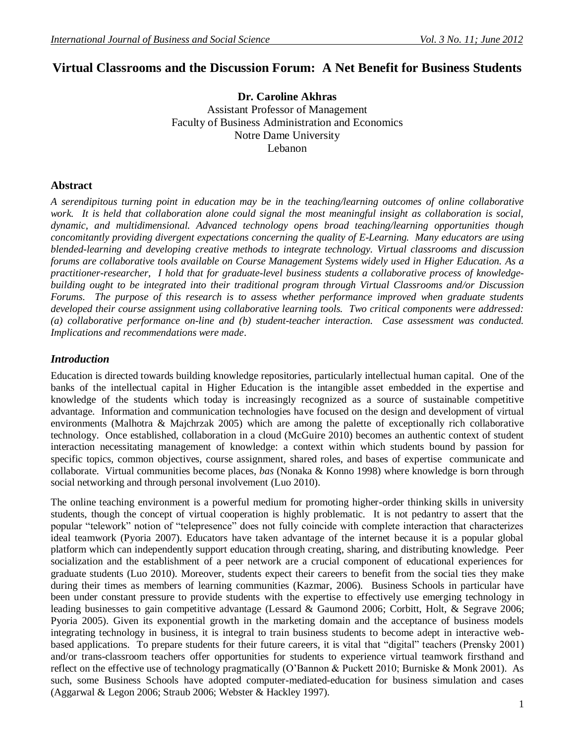# **Virtual Classrooms and the Discussion Forum: A Net Benefit for Business Students**

**Dr. Caroline Akhras** Assistant Professor of Management Faculty of Business Administration and Economics Notre Dame University [Lebanon](http://www.nd.edu.au/)

# **Abstract**

*A serendipitous turning point in education may be in the teaching/learning outcomes of online collaborative*  work. It is held that collaboration alone could signal the most meaningful insight as collaboration is social, *dynamic, and multidimensional. Advanced technology opens broad teaching/learning opportunities though concomitantly providing divergent expectations concerning the quality of E-Learning. Many educators are using blended-learning and developing creative methods to integrate technology. Virtual classrooms and discussion forums are collaborative tools available on Course Management Systems widely used in Higher Education. As a practitioner-researcher, I hold that for graduate-level business students a collaborative process of knowledgebuilding ought to be integrated into their traditional program through Virtual Classrooms and/or Discussion Forums. The purpose of this research is to assess whether performance improved when graduate students developed their course assignment using collaborative learning tools. Two critical components were addressed: (a) collaborative performance on-line and (b) student-teacher interaction. Case assessment was conducted. Implications and recommendations were made*.

### *Introduction*

Education is directed towards building knowledge repositories, particularly intellectual human capital. One of the banks of the intellectual capital in Higher Education is the intangible asset embedded in the expertise and knowledge of the students which today is increasingly recognized as a source of sustainable competitive advantage. Information and communication technologies have focused on the design and development of virtual environments (Malhotra & Majchrzak 2005) which are among the palette of exceptionally rich collaborative technology. Once established, collaboration in a cloud (McGuire 2010) becomes an authentic context of student interaction necessitating management of knowledge: a context within which students bound by passion for specific topics, common objectives, course assignment, shared roles, and bases of expertise communicate and collaborate. Virtual communities become places, *bas* (Nonaka & Konno 1998) where knowledge is born through social networking and through personal involvement (Luo 2010).

The online teaching environment is a powerful medium for promoting higher-order thinking skills in university students, though the concept of virtual cooperation is highly problematic. It is not pedantry to assert that the popular "telework" notion of "telepresence" does not fully coincide with complete interaction that characterizes ideal teamwork (Pyoria 2007). Educators have taken advantage of the internet because it is a popular global platform which can independently support education through creating, sharing, and distributing knowledge. Peer socialization and the establishment of a peer network are a crucial component of educational experiences for graduate students (Luo 2010). Moreover, students expect their careers to benefit from the social ties they make during their times as members of learning communities (Kazmar, 2006). Business Schools in particular have been under constant pressure to provide students with the expertise to effectively use emerging technology in leading businesses to gain competitive advantage (Lessard & Gaumond 2006; Corbitt, Holt, & Segrave 2006; Pyoria 2005). Given its exponential growth in the marketing domain and the acceptance of business models integrating technology in business, it is integral to train business students to become adept in interactive webbased applications. To prepare students for their future careers, it is vital that "digital" teachers (Prensky 2001) and/or trans-classroom teachers offer opportunities for students to experience virtual teamwork firsthand and reflect on the effective use of technology pragmatically (O"Bannon & Puckett 2010; Burniske & Monk 2001). As such, some Business Schools have adopted computer-mediated-education for business simulation and cases (Aggarwal & Legon 2006; Straub 2006; Webster & Hackley 1997).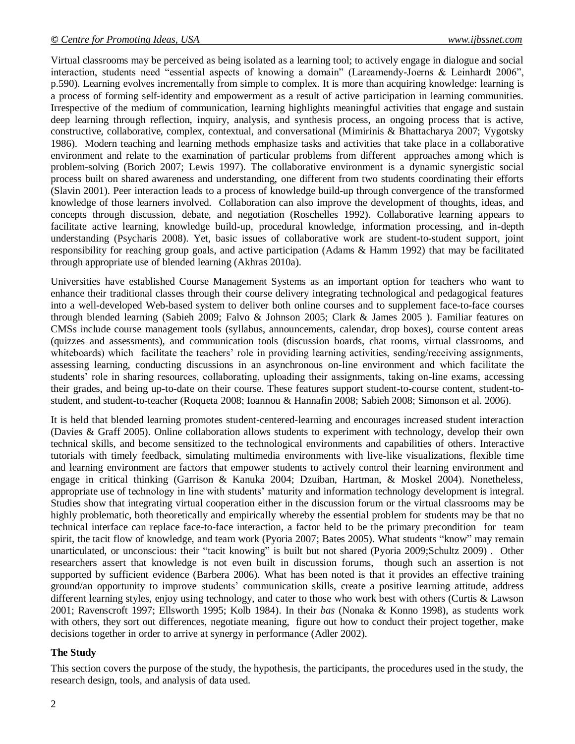Virtual classrooms may be perceived as being isolated as a learning tool; to actively engage in dialogue and social interaction, students need "essential aspects of knowing a domain" (Lareamendy-Joerns & Leinhardt 2006", p.590). Learning evolves incrementally from simple to complex. It is more than acquiring knowledge: learning is a process of forming self-identity and empowerment as a result of active participation in learning communities. Irrespective of the medium of communication, learning highlights meaningful activities that engage and sustain deep learning through reflection, inquiry, analysis, and synthesis process, an ongoing process that is active, constructive, collaborative, complex, contextual, and conversational (Mimirinis & Bhattacharya 2007; Vygotsky 1986). Modern teaching and learning methods emphasize tasks and activities that take place in a collaborative environment and relate to the examination of particular problems from different approaches among which is problem-solving (Borich 2007; Lewis 1997). The collaborative environment is a dynamic synergistic social process built on shared awareness and understanding, one different from two students coordinating their efforts (Slavin 2001). Peer interaction leads to a process of knowledge build-up through convergence of the transformed knowledge of those learners involved. Collaboration can also improve the development of thoughts, ideas, and concepts through discussion, debate, and negotiation (Roschelles 1992). Collaborative learning appears to facilitate active learning, knowledge build-up, procedural knowledge, information processing, and in-depth understanding (Psycharis 2008). Yet, basic issues of collaborative work are student-to-student support, joint responsibility for reaching group goals, and active participation (Adams & Hamm 1992) that may be facilitated through appropriate use of blended learning (Akhras 2010a).

Universities have established Course Management Systems as an important option for teachers who want to enhance their traditional classes through their course delivery integrating technological and pedagogical features into a well-developed Web-based system to deliver both online courses and to supplement face-to-face courses through blended learning (Sabieh 2009; Falvo & Johnson 2005; Clark & James 2005 ). Familiar features on CMSs include course management tools (syllabus, announcements, calendar, drop boxes), course content areas (quizzes and assessments), and communication tools (discussion boards, chat rooms, virtual classrooms, and whiteboards) which facilitate the teachers' role in providing learning activities, sending/receiving assignments, assessing learning, conducting discussions in an asynchronous on-line environment and which facilitate the students' role in sharing resources, collaborating, uploading their assignments, taking on-line exams, accessing their grades, and being up-to-date on their course. These features support student-to-course content, student-tostudent, and student-to-teacher (Roqueta 2008; Ioannou & Hannafin 2008; Sabieh 2008; Simonson et al. 2006).

It is held that blended learning promotes student-centered-learning and encourages increased student interaction (Davies & Graff 2005). Online collaboration allows students to experiment with technology, develop their own technical skills, and become sensitized to the technological environments and capabilities of others. Interactive tutorials with timely feedback, simulating multimedia environments with live-like visualizations, flexible time and learning environment are factors that empower students to actively control their learning environment and engage in critical thinking (Garrison & Kanuka 2004; Dzuiban, Hartman, & Moskel 2004). Nonetheless, appropriate use of technology in line with students' maturity and information technology development is integral. Studies show that integrating virtual cooperation either in the discussion forum or the virtual classrooms may be highly problematic, both theoretically and empirically whereby the essential problem for students may be that no technical interface can replace face-to-face interaction, a factor held to be the primary precondition for team spirit, the tacit flow of knowledge, and team work (Pyoria 2007; Bates 2005). What students "know" may remain unarticulated, or unconscious: their "tacit knowing" is built but not shared (Pyoria 2009;Schultz 2009) . Other researchers assert that knowledge is not even built in discussion forums, though such an assertion is not supported by sufficient evidence (Barbera 2006). What has been noted is that it provides an effective training ground/an opportunity to improve students" communication skills, create a positive learning attitude, address different learning styles, enjoy using technology, and cater to those who work best with others (Curtis & Lawson 2001; Ravenscroft 1997; Ellsworth 1995; Kolb 1984). In their *bas* (Nonaka & Konno 1998), as students work with others, they sort out differences, negotiate meaning, figure out how to conduct their project together, make decisions together in order to arrive at synergy in performance (Adler 2002).

#### **The Study**

This section covers the purpose of the study, the hypothesis, the participants, the procedures used in the study, the research design, tools, and analysis of data used.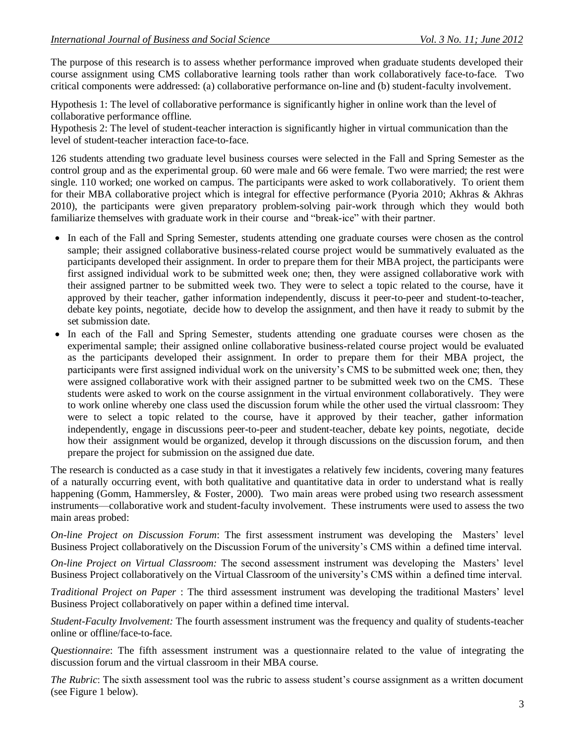The purpose of this research is to assess whether performance improved when graduate students developed their course assignment using CMS collaborative learning tools rather than work collaboratively face-to-face. Two critical components were addressed: (a) collaborative performance on-line and (b) student-faculty involvement.

Hypothesis 1: The level of collaborative performance is significantly higher in online work than the level of collaborative performance offline.

Hypothesis 2: The level of student-teacher interaction is significantly higher in virtual communication than the level of student-teacher interaction face-to-face.

126 students attending two graduate level business courses were selected in the Fall and Spring Semester as the control group and as the experimental group. 60 were male and 66 were female. Two were married; the rest were single. 110 worked; one worked on campus. The participants were asked to work collaboratively. To orient them for their MBA collaborative project which is integral for effective performance (Pyoria 2010; Akhras & Akhras 2010), the participants were given preparatory problem-solving pair-work through which they would both familiarize themselves with graduate work in their course and "break-ice" with their partner.

- In each of the Fall and Spring Semester, students attending one graduate courses were chosen as the control sample; their assigned collaborative business-related course project would be summatively evaluated as the participants developed their assignment. In order to prepare them for their MBA project, the participants were first assigned individual work to be submitted week one; then, they were assigned collaborative work with their assigned partner to be submitted week two. They were to select a topic related to the course, have it approved by their teacher, gather information independently, discuss it peer-to-peer and student-to-teacher, debate key points, negotiate, decide how to develop the assignment, and then have it ready to submit by the set submission date.
- In each of the Fall and Spring Semester, students attending one graduate courses were chosen as the experimental sample; their assigned online collaborative business-related course project would be evaluated as the participants developed their assignment. In order to prepare them for their MBA project, the participants were first assigned individual work on the university"s CMS to be submitted week one; then, they were assigned collaborative work with their assigned partner to be submitted week two on the CMS. These students were asked to work on the course assignment in the virtual environment collaboratively. They were to work online whereby one class used the discussion forum while the other used the virtual classroom: They were to select a topic related to the course, have it approved by their teacher, gather information independently, engage in discussions peer-to-peer and student-teacher, debate key points, negotiate, decide how their assignment would be organized, develop it through discussions on the discussion forum, and then prepare the project for submission on the assigned due date.

The research is conducted as a case study in that it investigates a relatively few incidents, covering many features of a naturally occurring event, with both qualitative and quantitative data in order to understand what is really happening (Gomm, Hammersley, & Foster, 2000). Two main areas were probed using two research assessment instruments—collaborative work and student-faculty involvement. These instruments were used to assess the two main areas probed:

*On-line Project on Discussion Forum*: The first assessment instrument was developing the Masters" level Business Project collaboratively on the Discussion Forum of the university"s CMS within a defined time interval.

*On-line Project on Virtual Classroom:* The second assessment instrument was developing the Masters" level Business Project collaboratively on the Virtual Classroom of the university"s CMS within a defined time interval.

*Traditional Project on Paper* : The third assessment instrument was developing the traditional Masters" level Business Project collaboratively on paper within a defined time interval.

*Student-Faculty Involvement:* The fourth assessment instrument was the frequency and quality of students-teacher online or offline/face-to-face.

*Questionnaire*: The fifth assessment instrument was a questionnaire related to the value of integrating the discussion forum and the virtual classroom in their MBA course.

*The Rubric*: The sixth assessment tool was the rubric to assess student"s course assignment as a written document (see Figure 1 below).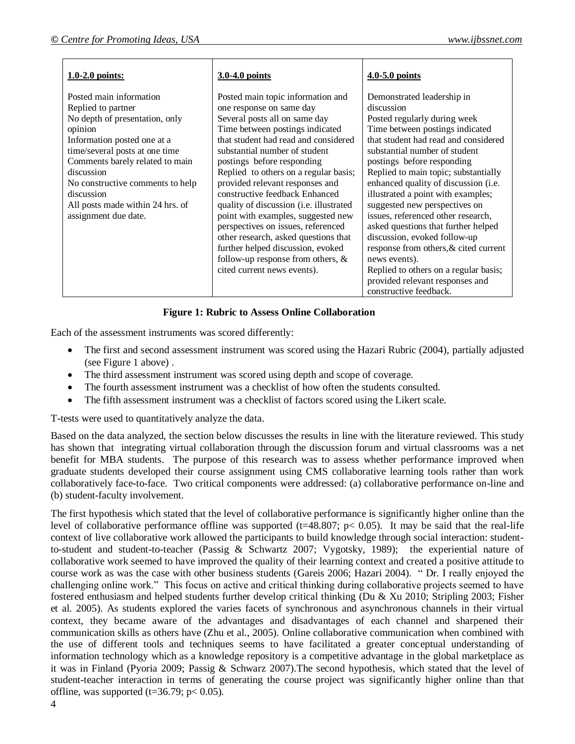| $1.0-2.0$ points:                                                                                                                                                                                                                                                                                                          | 3.0-4.0 points                                                                                                                                                                                                                                                                                                                                                                                                                                                                                                                                                                                                                    | 4.0-5.0 points                                                                                                                                                                                                                                                                                                                                                                                                                                                                                                                                                                                                                                         |
|----------------------------------------------------------------------------------------------------------------------------------------------------------------------------------------------------------------------------------------------------------------------------------------------------------------------------|-----------------------------------------------------------------------------------------------------------------------------------------------------------------------------------------------------------------------------------------------------------------------------------------------------------------------------------------------------------------------------------------------------------------------------------------------------------------------------------------------------------------------------------------------------------------------------------------------------------------------------------|--------------------------------------------------------------------------------------------------------------------------------------------------------------------------------------------------------------------------------------------------------------------------------------------------------------------------------------------------------------------------------------------------------------------------------------------------------------------------------------------------------------------------------------------------------------------------------------------------------------------------------------------------------|
| Posted main information<br>Replied to partner<br>No depth of presentation, only<br>opinion<br>Information posted one at a<br>time/several posts at one time<br>Comments barely related to main<br>discussion<br>No constructive comments to help<br>discussion<br>All posts made within 24 hrs. of<br>assignment due date. | Posted main topic information and<br>one response on same day<br>Several posts all on same day<br>Time between postings indicated<br>that student had read and considered<br>substantial number of student<br>postings before responding<br>Replied to others on a regular basis;<br>provided relevant responses and<br>constructive feedback Enhanced<br>quality of discussion (i.e. illustrated<br>point with examples, suggested new<br>perspectives on issues, referenced<br>other research, asked questions that<br>further helped discussion, evoked<br>follow-up response from others, $\&$<br>cited current news events). | Demonstrated leadership in<br>discussion<br>Posted regularly during week<br>Time between postings indicated<br>that student had read and considered<br>substantial number of student<br>postings before responding<br>Replied to main topic; substantially<br>enhanced quality of discussion (i.e.<br>illustrated a point with examples;<br>suggested new perspectives on<br>issues, referenced other research,<br>asked questions that further helped<br>discussion, evoked follow-up<br>response from others, & cited current<br>news events).<br>Replied to others on a regular basis;<br>provided relevant responses and<br>constructive feedback. |

#### **Figure 1: Rubric to Assess Online Collaboration**

Each of the assessment instruments was scored differently:

- The first and second assessment instrument was scored using the Hazari Rubric (2004), partially adjusted (see Figure 1 above) .
- The third assessment instrument was scored using depth and scope of coverage.
- The fourth assessment instrument was a checklist of how often the students consulted.
- The fifth assessment instrument was a checklist of factors scored using the Likert scale.

T-tests were used to quantitatively analyze the data.

Based on the data analyzed, the section below discusses the results in line with the literature reviewed. This study has shown that integrating virtual collaboration through the discussion forum and virtual classrooms was a net benefit for MBA students. The purpose of this research was to assess whether performance improved when graduate students developed their course assignment using CMS collaborative learning tools rather than work collaboratively face-to-face. Two critical components were addressed: (a) collaborative performance on-line and (b) student-faculty involvement.

The first hypothesis which stated that the level of collaborative performance is significantly higher online than the level of collaborative performance offline was supported (t=48.807;  $p < 0.05$ ). It may be said that the real-life context of live collaborative work allowed the participants to build knowledge through social interaction: studentto-student and student-to-teacher (Passig & Schwartz 2007; Vygotsky, 1989); the experiential nature of collaborative work seemed to have improved the quality of their learning context and created a positive attitude to course work as was the case with other business students (Gareis 2006; Hazari 2004). " Dr. I really enjoyed the challenging online work." This focus on active and critical thinking during collaborative projects seemed to have fostered enthusiasm and helped students further develop critical thinking (Du & Xu 2010; Stripling 2003; Fisher et al. 2005). As students explored the varies facets of synchronous and asynchronous channels in their virtual context, they became aware of the advantages and disadvantages of each channel and sharpened their communication skills as others have (Zhu et al., 2005). Online collaborative communication when combined with the use of different tools and techniques seems to have facilitated a greater conceptual understanding of information technology which as a knowledge repository is a competitive advantage in the global marketplace as it was in Finland (Pyoria 2009; Passig & Schwarz 2007).The second hypothesis, which stated that the level of student-teacher interaction in terms of generating the course project was significantly higher online than that offline, was supported (t=36.79;  $p < 0.05$ ).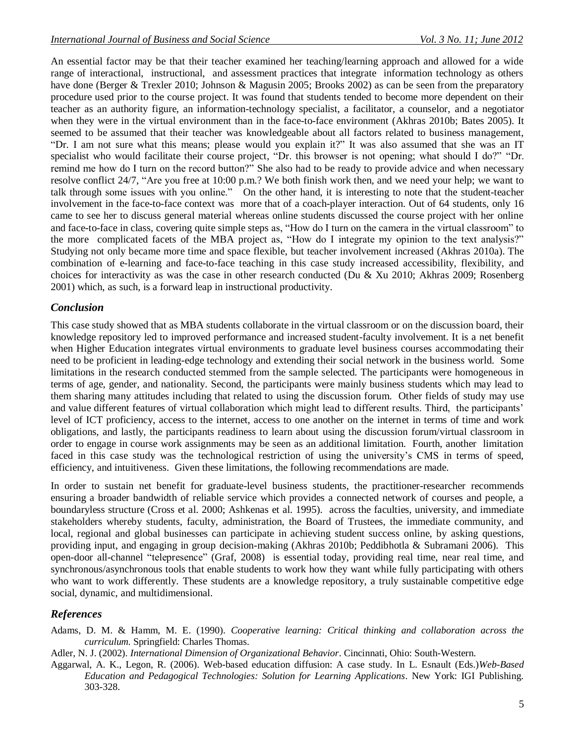An essential factor may be that their teacher examined her teaching/learning approach and allowed for a wide range of interactional, instructional, and assessment practices that integrate information technology as others have done (Berger & Trexler 2010; Johnson & Magusin 2005; Brooks 2002) as can be seen from the preparatory procedure used prior to the course project. It was found that students tended to become more dependent on their teacher as an authority figure, an information-technology specialist, a facilitator, a counselor, and a negotiator when they were in the virtual environment than in the face-to-face environment (Akhras 2010b; Bates 2005). It seemed to be assumed that their teacher was knowledgeable about all factors related to business management, "Dr. I am not sure what this means; please would you explain it?" It was also assumed that she was an IT specialist who would facilitate their course project, "Dr. this browser is not opening; what should I do?" "Dr. remind me how do I turn on the record button?" She also had to be ready to provide advice and when necessary resolve conflict 24/7, "Are you free at 10:00 p.m.? We both finish work then, and we need your help; we want to talk through some issues with you online." On the other hand, it is interesting to note that the student-teacher involvement in the face-to-face context was more that of a coach-player interaction. Out of 64 students, only 16 came to see her to discuss general material whereas online students discussed the course project with her online and face-to-face in class, covering quite simple steps as, "How do I turn on the camera in the virtual classroom" to the more complicated facets of the MBA project as, "How do I integrate my opinion to the text analysis?" Studying not only became more time and space flexible, but teacher involvement increased (Akhras 2010a). The combination of e-learning and face-to-face teaching in this case study increased accessibility, flexibility, and choices for interactivity as was the case in other research conducted (Du & Xu 2010; Akhras 2009; Rosenberg 2001) which, as such, is a forward leap in instructional productivity.

### *Conclusion*

This case study showed that as MBA students collaborate in the virtual classroom or on the discussion board, their knowledge repository led to improved performance and increased student-faculty involvement. It is a net benefit when Higher Education integrates virtual environments to graduate level business courses accommodating their need to be proficient in leading-edge technology and extending their social network in the business world. Some limitations in the research conducted stemmed from the sample selected. The participants were homogeneous in terms of age, gender, and nationality. Second, the participants were mainly business students which may lead to them sharing many attitudes including that related to using the discussion forum. Other fields of study may use and value different features of virtual collaboration which might lead to different results. Third, the participants' level of ICT proficiency, access to the internet, access to one another on the internet in terms of time and work obligations, and lastly, the participants readiness to learn about using the discussion forum/virtual classroom in order to engage in course work assignments may be seen as an additional limitation. Fourth, another limitation faced in this case study was the technological restriction of using the university's CMS in terms of speed, efficiency, and intuitiveness. Given these limitations, the following recommendations are made.

In order to sustain net benefit for graduate-level business students, the practitioner-researcher recommends ensuring a broader bandwidth of reliable service which provides a connected network of courses and people, a boundaryless structure (Cross et al. 2000; Ashkenas et al. 1995). across the faculties, university, and immediate stakeholders whereby students, faculty, administration, the Board of Trustees, the immediate community, and local, regional and global businesses can participate in achieving student success online, by asking questions, providing input, and engaging in group decision-making (Akhras 2010b; Peddibhotla & Subramani 2006). This open-door all-channel "telepresence" (Graf, 2008) is essential today, providing real time, near real time, and synchronous/asynchronous tools that enable students to work how they want while fully participating with others who want to work differently. These students are a knowledge repository, a truly sustainable competitive edge social, dynamic, and multidimensional.

## *References*

Adams, D. M. & Hamm, M. E. (1990). *Cooperative learning: Critical thinking and collaboration across the curriculum.* Springfield: Charles Thomas.

Adler, N. J. (2002). *International Dimension of Organizational Behavior*. Cincinnati, Ohio: South-Western.

Aggarwal, A. K., Legon, R. (2006). Web-based education diffusion: A case study. In L. Esnault (Eds.)*Web-Based Education and Pedagogical Technologies: Solution for Learning Applications*. New York: IGI Publishing. 303-328.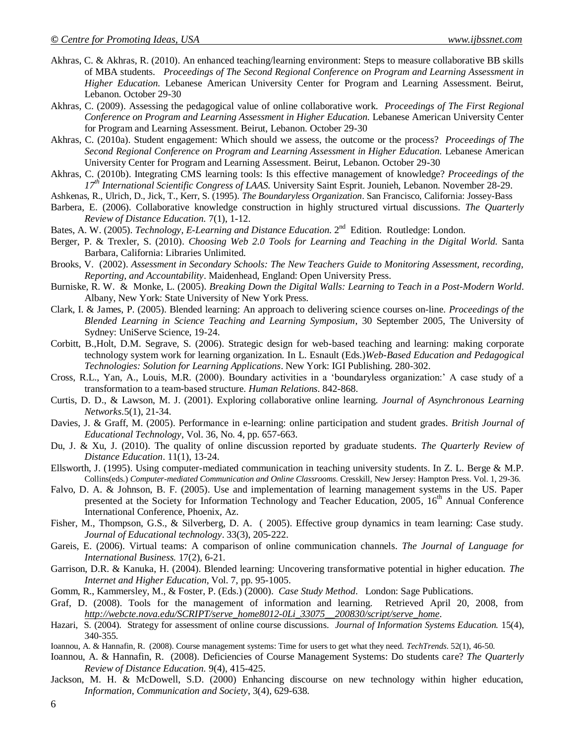- Akhras, C. & Akhras, R. (2010). An enhanced teaching/learning environment: Steps to measure collaborative BB skills of MBA students. *Proceedings of The Second Regional Conference on Program and Learning Assessment in Higher Education.* Lebanese American University Center for Program and Learning Assessment. Beirut, Lebanon. October 29-30
- Akhras, C. (2009). Assessing the pedagogical value of online collaborative work. *Proceedings of The First Regional Conference on Program and Learning Assessment in Higher Education.* Lebanese American University Center for Program and Learning Assessment. Beirut, Lebanon. October 29-30
- Akhras, C. (2010a). Student engagement: Which should we assess, the outcome or the process? *Proceedings of The Second Regional Conference on Program and Learning Assessment in Higher Education.* Lebanese American University Center for Program and Learning Assessment. Beirut, Lebanon. October 29-30
- Akhras, C. (2010b). Integrating CMS learning tools: Is this effective management of knowledge? *Proceedings of the 17th International Scientific Congress of LAAS.* University Saint Esprit. Jounieh, Lebanon. November 28-29.
- Ashkenas, R., Ulrich, D., Jick, T., Kerr, S. (1995). *The Boundaryless Organization*. San Francisco, California: Jossey-Bass
- Barbera, E. (2006). Collaborative knowledge construction in highly structured virtual discussions. *The Quarterly Review of Distance Education.* 7(1), 1-12.
- Bates, A. W. (2005). *Technology, E-Learning and Distance Education*. 2<sup>nd</sup> Edition. Routledge: London.
- Berger, P. & Trexler, S. (2010). *Choosing Web 2.0 Tools for Learning and Teaching in the Digital World.* Santa Barbara, California: Libraries Unlimited.
- Brooks, V. (2002). *Assessment in Secondary Schools: The New Teachers Guide to Monitoring Assessment, recording, Reporting, and Accountability*. Maidenhead, England: Open University Press.
- Burniske, R. W. & Monke, L. (2005). *Breaking Down the Digital Walls: Learning to Teach in a Post-Modern World*. Albany, New York: State University of New York Press.
- Clark, I. & James, P. (2005). Blended learning: An approach to delivering science courses on-line. *Proceedings of the Blended Learning in Science Teaching and Learning Symposium*, 30 September 2005, The University of Sydney: UniServe Science, 19-24.
- Corbitt, B.,Holt, D.M. Segrave, S. (2006). Strategic design for web-based teaching and learning: making corporate technology system work for learning organization. In L. Esnault (Eds.)*Web-Based Education and Pedagogical Technologies: Solution for Learning Applications*. New York: IGI Publishing. 280-302.
- Cross, R.L., Yan, A., Louis, M.R. (2000). Boundary activities in a "boundaryless organization:" A case study of a transformation to a team-based structure. *Human Relations*. 842-868.
- Curtis, D. D., & Lawson, M. J. (2001). Exploring collaborative online learning. *Journal of Asynchronous Learning Networks.*5(1), 21-34.
- Davies, J. & Graff, M. (2005). Performance in e-learning: online participation and student grades. *British Journal of Educational Technology*, Vol. 36, No. 4, pp. 657-663.
- Du, J. & Xu, J. (2010). The quality of online discussion reported by graduate students. *The Quarterly Review of Distance Education*. 11(1), 13-24.
- Ellsworth, J. (1995). Using computer-mediated communication in teaching university students. In Z. L. Berge & M.P. Collins(eds.) *Computer-mediated Communication and Online Classrooms*. Cresskill, New Jersey: Hampton Press. Vol. 1, 29-36.
- Falvo, D. A. & Johnson, B. F. (2005). Use and implementation of learning management systems in the US. Paper presented at the Society for Information Technology and Teacher Education, 2005, 16<sup>th</sup> Annual Conference International Conference, Phoenix, Az.
- Fisher, M., Thompson, G.S., & Silverberg, D. A. ( 2005). Effective group dynamics in team learning: Case study. *Journal of Educational technology*. 33(3), 205-222.
- Gareis, E. (2006). Virtual teams: A comparison of online communication channels. *The Journal of Language for International Business.* 17(2), 6-21.
- Garrison, D.R. & Kanuka, H. (2004). Blended learning: Uncovering transformative potential in higher education. *The Internet and Higher Education*, Vol. 7, pp. 95-1005.
- Gomm, R., Kammersley, M., & Foster, P. (Eds.) (2000). *Case Study Method*. London: Sage Publications.
- Graf, D. (2008). Tools for the management of information and learning. Retrieved April 20, 2008, from *[http://webcte.nova.edu/SCRIPT/serve\\_home8012-0Li\\_33075\\_\\_200830/script/serve\\_home.](http://webcte.nova.edu/SCRIPT/serve_home8012-0Li_33075__200830/script/serve_home)*
- Hazari, S. (2004). Strategy for assessment of online course discussions. *Journal of Information Systems Education.* 15(4), 340-355.
- Ioannou, A. & Hannafin, R. (2008). Course management systems: Time for users to get what they need. *TechTrends*. 52(1), 46-50.
- Ioannou, A. & Hannafin, R. (2008). Deficiencies of Course Management Systems: Do students care? *The Quarterly Review of Distance Education.* 9(4), 415-425.
- Jackson, M. H. & McDowell, S.D. (2000) Enhancing discourse on new technology within higher education, *Information, Communication and Society*, 3(4), 629-638.